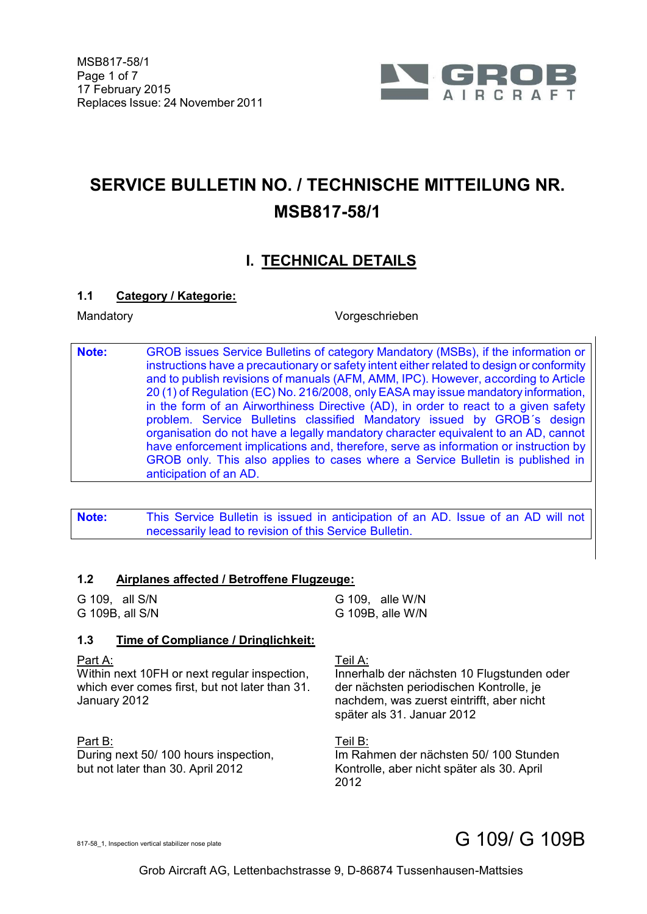

# **SERVICE BULLETIN NO. / TECHNISCHE MITTEILUNG NR. MSB817-58/1**

# **I. TECHNICAL DETAILS**

### **1.1 Category / Kategorie:**

Mandatory Vorgeschrieben

**Note:** GROB issues Service Bulletins of category Mandatory (MSBs), if the information or instructions have a precautionary or safety intent either related to design or conformity and to publish revisions of manuals (AFM, AMM, IPC). However, according to Article 20 (1) of Regulation (EC) No. 216/2008, only EASA may issue mandatory information, in the form of an Airworthiness Directive (AD), in order to react to a given safety problem. Service Bulletins classified Mandatory issued by GROB´s design organisation do not have a legally mandatory character equivalent to an AD, cannot have enforcement implications and, therefore, serve as information or instruction by GROB only. This also applies to cases where a Service Bulletin is published in anticipation of an AD.

**Note:** This Service Bulletin is issued in anticipation of an AD. Issue of an AD will not necessarily lead to revision of this Service Bulletin.

#### **1.2 Airplanes affected / Betroffene Flugzeuge:**

G 109, all S/N G 109, alle W/N G 109B, all S/N G 109B, alle W/N

### **1.3 Time of Compliance / Dringlichkeit:**

Part A:

Within next 10FH or next regular inspection, which ever comes first, but not later than 31. January 2012

Part B: During next 50/ 100 hours inspection, but not later than 30. April 2012

Teil A:

Innerhalb der nächsten 10 Flugstunden oder der nächsten periodischen Kontrolle, je nachdem, was zuerst eintrifft, aber nicht später als 31. Januar 2012

Teil B: Im Rahmen der nächsten 50/ 100 Stunden Kontrolle, aber nicht später als 30. April 2012

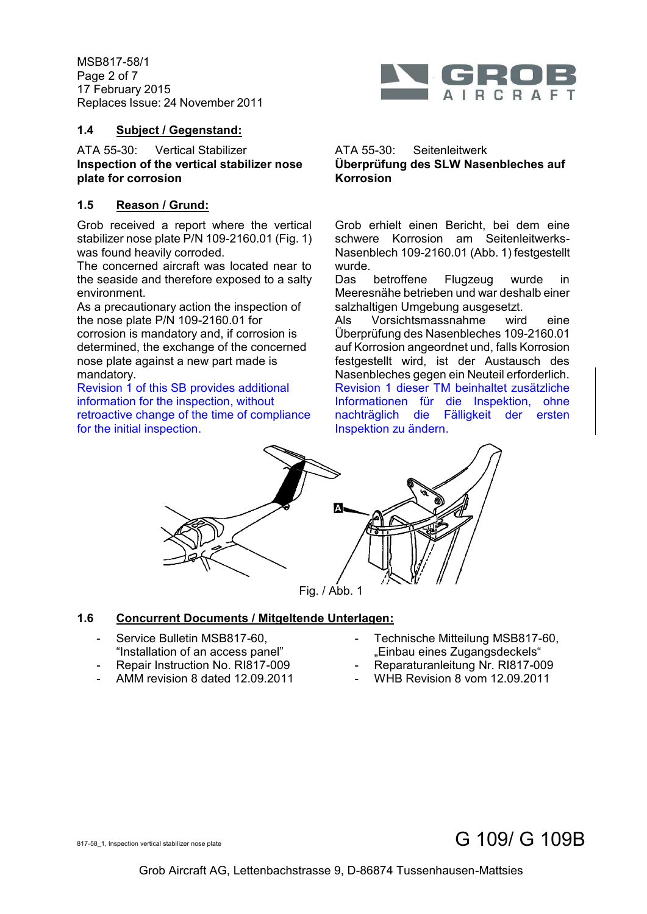MSB817-58/1 Page 2 of 7 17 February 2015 Replaces Issue: 24 November 2011



### **1.4 Subject / Gegenstand:**

ATA 55-30: Vertical Stabilizer ATA 55-30: Seitenleitwerk **Inspection of the vertical stabilizer nose plate for corrosion**

## **1.5 Reason / Grund:**

Grob received a report where the vertical stabilizer nose plate P/N 109-2160.01 (Fig. 1) was found heavily corroded.

The concerned aircraft was located near to the seaside and therefore exposed to a salty environment.

As a precautionary action the inspection of the nose plate P/N 109-2160.01 for corrosion is mandatory and, if corrosion is determined, the exchange of the concerned nose plate against a new part made is mandatory.

Revision 1 of this SB provides additional information for the inspection, without retroactive change of the time of compliance for the initial inspection.

# **Überprüfung des SLW Nasenbleches auf Korrosion**

Grob erhielt einen Bericht, bei dem eine schwere Korrosion am Seitenleitwerks-Nasenblech 109-2160.01 (Abb. 1) festgestellt wurde.

Das betroffene Flugzeug wurde in Meeresnähe betrieben und war deshalb einer salzhaltigen Umgebung ausgesetzt.

Als Vorsichtsmassnahme wird eine Überprüfung des Nasenbleches 109-2160.01 auf Korrosion angeordnet und, falls Korrosion festgestellt wird, ist der Austausch des Nasenbleches gegen ein Neuteil erforderlich. Revision 1 dieser TM beinhaltet zusätzliche Informationen für die Inspektion, ohne nachträglich die Fälligkeit der ersten Inspektion zu ändern.



### Fig. / Abb. 1

## **1.6 Concurrent Documents / Mitgeltende Unterlagen:**

- Service Bulletin MSB817-60, "Installation of an access panel"
- Repair Instruction No. RI817-009
- AMM revision 8 dated 12.09.2011
- Technische Mitteilung MSB817-60, "Einbau eines Zugangsdeckels"
- Reparaturanleitung Nr. RI817-009
- WHB Revision 8 vom 12.09.2011

# $817-58\_1$ , Inspection vertical stabilizer nose plate G  $109/$  G  $109B$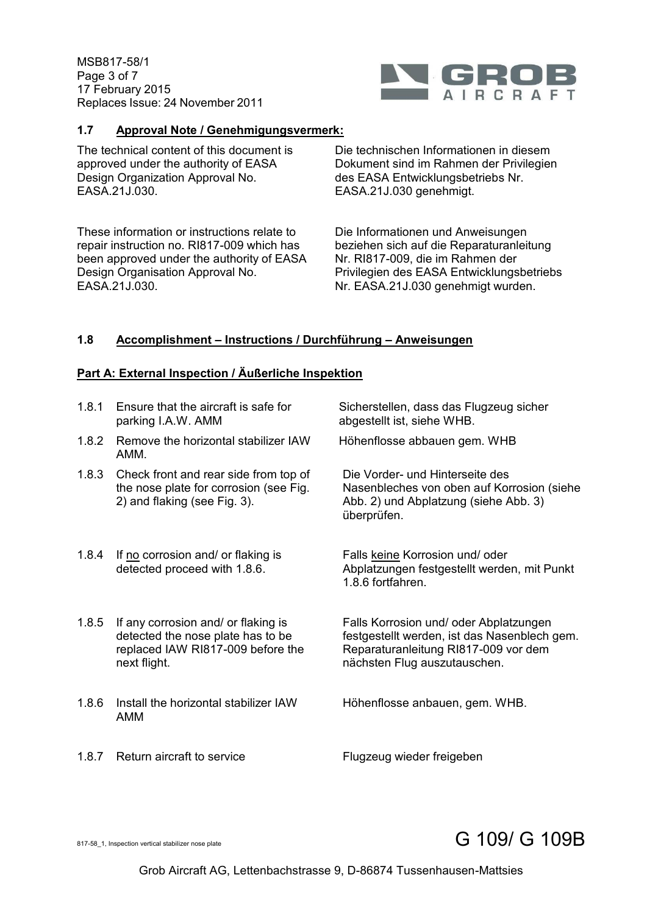MSB817-58/1 Page 3 of 7 17 February 2015 Replaces Issue: 24 November 2011



#### **1.7 Approval Note / Genehmigungsvermerk:**

The technical content of this document is approved under the authority of EASA Design Organization Approval No. EASA.21J.030.

These information or instructions relate to repair instruction no. RI817-009 which has been approved under the authority of EASA Design Organisation Approval No. EASA.21J.030.

Die technischen Informationen in diesem Dokument sind im Rahmen der Privilegien des EASA Entwicklungsbetriebs Nr. EASA.21J.030 genehmigt.

Die Informationen und Anweisungen beziehen sich auf die Reparaturanleitung Nr. RI817-009, die im Rahmen der Privilegien des EASA Entwicklungsbetriebs Nr. EASA.21J.030 genehmigt wurden.

#### **1.8 Accomplishment – Instructions / Durchführung – Anweisungen**

#### **Part A: External Inspection / Äußerliche Inspektion**

| 1.8.1 | Ensure that the aircraft is safe for<br>parking I.A.W. AMM                                                                    | Sicherstellen, dass das Flugzeug sicher<br>abgestellt ist, siehe WHB.                                                                                          |
|-------|-------------------------------------------------------------------------------------------------------------------------------|----------------------------------------------------------------------------------------------------------------------------------------------------------------|
| 1.8.2 | Remove the horizontal stabilizer IAW<br>AMM.                                                                                  | Höhenflosse abbauen gem. WHB                                                                                                                                   |
| 1.8.3 | Check front and rear side from top of<br>the nose plate for corrosion (see Fig.<br>2) and flaking (see Fig. 3).               | Die Vorder- und Hinterseite des<br>Nasenbleches von oben auf Korrosion (siehe<br>Abb. 2) und Abplatzung (siehe Abb. 3)<br>überprüfen.                          |
| 1.8.4 | If no corrosion and/ or flaking is<br>detected proceed with 1.8.6.                                                            | Falls keine Korrosion und/oder<br>Abplatzungen festgestellt werden, mit Punkt<br>1.8.6 fortfahren.                                                             |
| 1.8.5 | If any corrosion and/ or flaking is<br>detected the nose plate has to be<br>replaced IAW RI817-009 before the<br>next flight. | Falls Korrosion und/ oder Abplatzungen<br>festgestellt werden, ist das Nasenblech gem.<br>Reparaturanleitung RI817-009 vor dem<br>nächsten Flug auszutauschen. |
| 1.8.6 | Install the horizontal stabilizer IAW<br>AMM                                                                                  | Höhenflosse anbauen, gem. WHB.                                                                                                                                 |

1.8.7 Return aircraft to service Flugzeug wieder freigeben

# $817-58\_1$ , Inspection vertical stabilizer nose plate G  $109/$  G  $109B$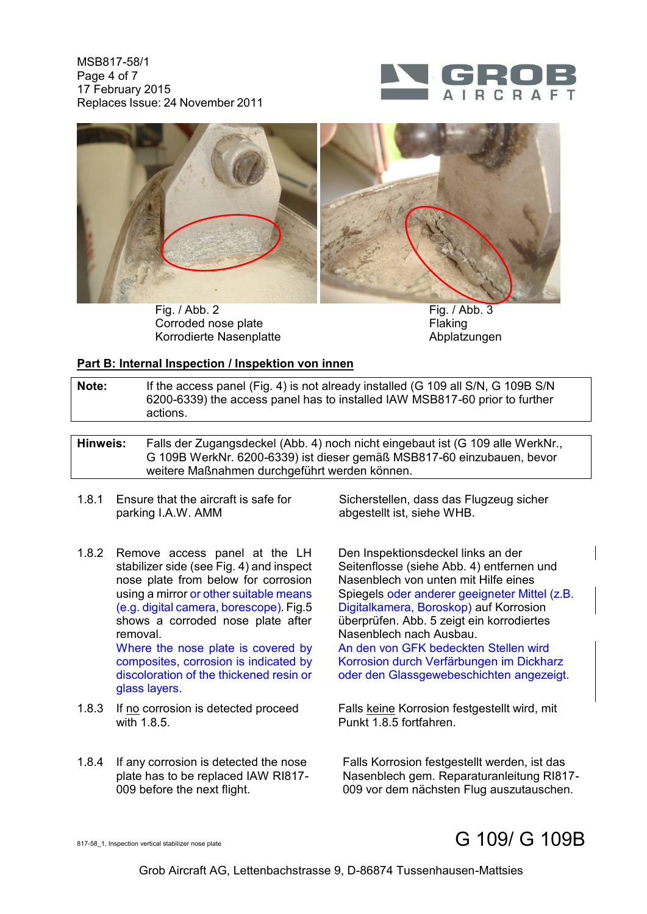MSB817-58/1 Page 4 of 7 17 February 2015 Replaces Issue: 24 November 2011





Fig. / Abb. 2 Fig. / Abb. 3 Corroded nose plate Flaking Korrodierte Nasenplatte **Abplatzungen** 

#### **Part B: Internal Inspection / Inspektion von innen**

| Note: | If the access panel (Fig. 4) is not already installed (G 109 all S/N, G 109B S/N |
|-------|----------------------------------------------------------------------------------|
|       | 6200-6339) the access panel has to installed IAW MSB817-60 prior to further      |
|       | actions.                                                                         |

**Hinweis:** Falls der Zugangsdeckel (Abb. 4) noch nicht eingebaut ist (G 109 alle WerkNr., G 109B WerkNr. 6200-6339) ist dieser gemäß MSB817-60 einzubauen, bevor weitere Maßnahmen durchgeführt werden können.

- 1.8.1 Ensure that the aircraft is safe for parking I.A.W. AMM
- 1.8.2 Remove access panel at the LH stabilizer side (see Fig. 4) and inspect nose plate from below for corrosion using a mirror or other suitable means (e.g. digital camera, borescope). Fig.5 shows a corroded nose plate after removal. Where the nose plate is covered by composites, corrosion is indicated by discoloration of the thickened resin or glass layers.
- 1.8.3 If no corrosion is detected proceed with 1.8.5
- 1.8.4 If any corrosion is detected the nose plate has to be replaced IAW RI817- 009 before the next flight.

Sicherstellen, dass das Flugzeug sicher abgestellt ist, siehe WHB.

Den Inspektionsdeckel links an der Seitenflosse (siehe Abb. 4) entfernen und Nasenblech von unten mit Hilfe eines Spiegels oder anderer geeigneter Mittel (z.B. Digitalkamera, Boroskop) auf Korrosion überprüfen. Abb. 5 zeigt ein korrodiertes Nasenblech nach Ausbau. An den von GFK bedeckten Stellen wird Korrosion durch Verfärbungen im Dickharz

oder den Glassgewebeschichten angezeigt.

Falls keine Korrosion festgestellt wird, mit Punkt 1.8.5 fortfahren.

Falls Korrosion festgestellt werden, ist das Nasenblech gem. Reparaturanleitung RI817- 009 vor dem nächsten Flug auszutauschen.

# $817-58\_1$ , Inspection vertical stabilizer nose plate G  $109/$  G  $109B$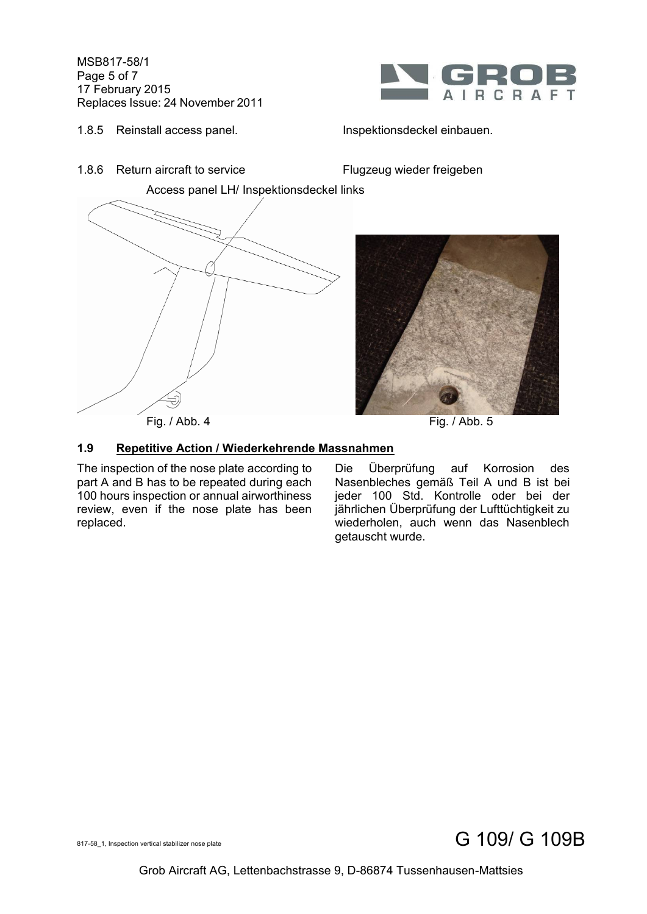MSB817-58/1 Page 5 of 7 17 February 2015 Replaces Issue: 24 November 2011



**IRCRAFT**  $\Delta$ 

Access panel LH/ Inspektionsdeckel links

1.8.6 Return aircraft to service Flugzeug wieder freigeben



### **1.9 Repetitive Action / Wiederkehrende Massnahmen**

The inspection of the nose plate according to part A and B has to be repeated during each 100 hours inspection or annual airworthiness review, even if the nose plate has been replaced.

Die Überprüfung auf Korrosion des Nasenbleches gemäß Teil A und B ist bei jeder 100 Std. Kontrolle oder bei der jährlichen Überprüfung der Lufttüchtigkeit zu wiederholen, auch wenn das Nasenblech getauscht wurde.

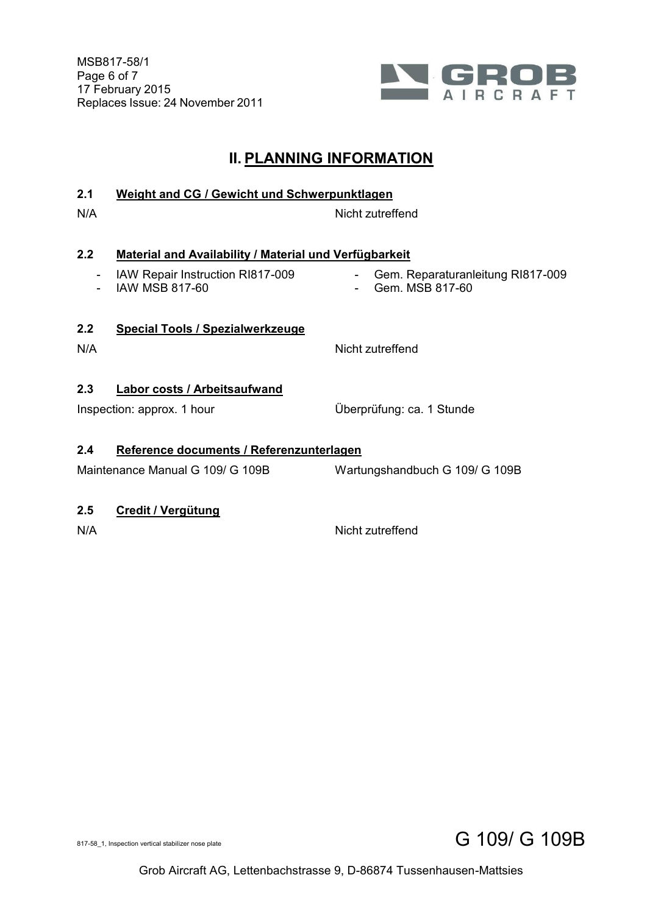

## **II. PLANNING INFORMATION**

### **2.1 Weight and CG / Gewicht und Schwerpunktlagen**

N/A Nicht zutreffend

### **2.2 Material and Availability / Material und Verfügbarkeit**

- IAW Repair Instruction RI817-009
- IAW MSB 817-60
- Gem. Reparaturanleitung RI817-009
- Gem. MSB 817-60

### **2.2 Special Tools / Spezialwerkzeuge**

N/A Nicht zutreffend

### **2.3 Labor costs / Arbeitsaufwand**

Inspection: approx. 1 hour 

Uberprüfung: ca. 1 Stunde

### **2.4 Reference documents / Referenzunterlagen**

Maintenance Manual G 109/ G 109B Wartungshandbuch G 109/ G 109B

### **2.5 Credit / Vergütung**

N/A Nicht zutreffend